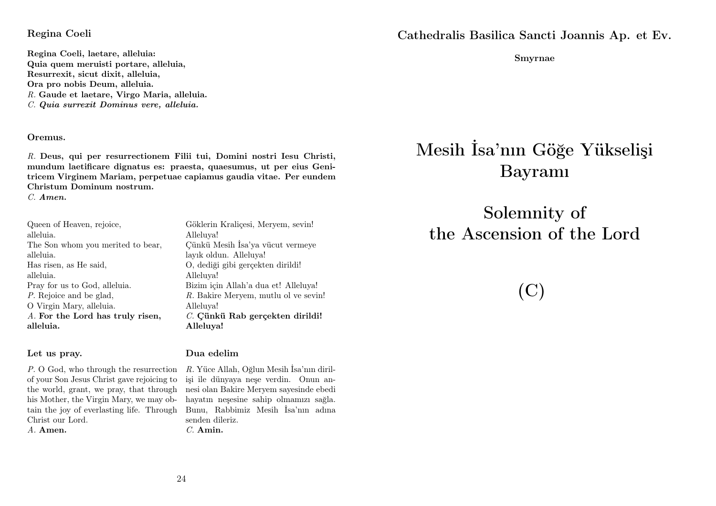#### Regina Coeli

Regina Coeli, laetare, alleluia: Quia quem meruisti portare, alleluia, Resurrexit, sicut dixit, alleluia, Ora pro nobis Deum, alleluia. R. Gaude et laetare, Virgo Maria, alleluia. C. Quia surrexit Dominus vere, alleluia.

#### Oremus.

R. Deus, qui per resurrectionem Filii tui, Domini nostri Iesu Christi, mundum laetificare dignatus es: praesta, quaesumus, ut per eius Genitricem Virginem Mariam, perpetuae capiamus gaudia vitae. Per eundem Christum Dominum nostrum.

C. Amen.

Queen of Heaven, rejoice, alleluia. The Son whom you merited to bear, alleluia. Has risen, as He said, alleluia. Pray for us to God, alleluia. P. Rejoice and be glad, O Virgin Mary, alleluia. A. For the Lord has truly risen, alleluia.

#### Let us pray.

P. O God, who through the resurrection R. Yüce Allah, Oğlun Mesih İsa'nın dirilof your Son Jesus Christ gave rejoicing to the world, grant, we pray, that through his Mother, the Virgin Mary, we may obtain the joy of everlasting life. Through Bunu, Rabbimiz Mesih İsa'nın adına Christ our Lord. A. Amen.

Alleluya! Çünkü Mesih İsa'ya vücut vermeye layık oldun. Alleluya! O, dediği gibi gerçekten dirildi! Alleluya! Bizim için Allah'a dua et! Alleluya! R. Bakire Meryem, mutlu ol ve sevin! Alleluya! C. Cünkü Rab gerçekten dirildi! Alleluya!

Göklerin Kraliçesi, Meryem, sevin!

#### Dua edelim

işi ile dünyaya neşe verdin. Onun annesi olan Bakire Meryem sayesinde ebedi hayatın neşesine sahip olmamızı sağla. senden dileriz. C. Amin.

Cathedralis Basilica Sancti Joannis Ap. et Ev.

Smyrnae

# Mesih İsa'nın Göğe Yükselişi Bayramı

Solemnity of the Ascension of the Lord

(C)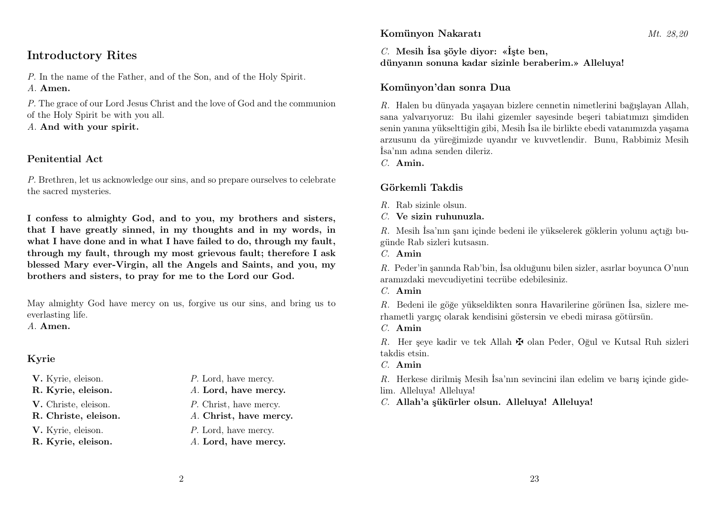## Introductory Rites

P. In the name of the Father, and of the Son, and of the Holy Spirit. A. Amen.

P. The grace of our Lord Jesus Christ and the love of God and the communion of the Holy Spirit be with you all.

A. And with your spirit.

#### Penitential Act

P. Brethren, let us acknowledge our sins, and so prepare ourselves to celebrate the sacred mysteries.

I confess to almighty God, and to you, my brothers and sisters, that I have greatly sinned, in my thoughts and in my words, in what I have done and in what I have failed to do, through my fault, through my fault, through my most grievous fault; therefore I ask blessed Mary ever-Virgin, all the Angels and Saints, and you, my brothers and sisters, to pray for me to the Lord our God.

May almighty God have mercy on us, forgive us our sins, and bring us to everlasting life.

A. Amen.

## Kyrie

- 
- 
- 
- 

- V. Kyrie, eleison.  $P.$  Lord, have mercy.
- R. Kyrie, eleison. A. Lord, have mercy.
- V. Christe, eleison. P. Christ, have mercy.
- R. Christe, eleison. A. Christ, have mercy.
- V. Kyrie, eleison.  $P$ . Lord, have mercy.
- R. Kyrie, eleison. A. Lord, have mercy.

#### Komünyon Nakaratı Mt. 28.20

C. Mesih İsa şöyle diyor: «İşte ben, dünyanın sonuna kadar sizinle beraberim.» Alleluya!

#### Komünyon'dan sonra Dua

R. Halen bu dünyada yaşayan bizlere cennetin nimetlerini bağışlayan Allah, sana yalvarıyoruz: Bu ilahi gizemler sayesinde beşeri tabiatımızı şimdiden senin yanına yükselttiğin gibi, Mesih İsa ile birlikte ebedi vatanımızda yaşama arzusunu da yüreğimizde uyandır ve kuvvetlendir. Bunu, Rabbimiz Mesih İsa'nın adına senden dileriz.

C. Amin.

## Görkemli Takdis

- $R$ . Rab sizinle olsun.
- C. Ve sizin ruhunuzla.

R. Mesih İsa'nın şanı içinde bedeni ile yükselerek göklerin yolunu açtığı bugünde Rab sizleri kutsasın.

C. Amin

R. Peder'in şanında Rab'bin, İsa olduğunu bilen sizler, asırlar boyunca O'nun aramızdaki mevcudiyetini tecrübe edebilesiniz.

C. Amin

R. Bedeni ile göğe yükseldikten sonra Havarilerine görünen İsa, sizlere merhametli yargıç olarak kendisini göstersin ve ebedi mirasa götürsün.

C. Amin

R. Her seye kadir ve tek Allah  $\mathbf{\nabla}$  olan Peder, Oğul ve Kutsal Ruh sizleri takdis etsin.

C. Amin

R. Herkese dirilmiş Mesih İsa'nın sevincini ilan edelim ve barış içinde gide-

- lim. Alleluya! Alleluya!
- C. Allah'a şükürler olsun. Alleluya! Alleluya!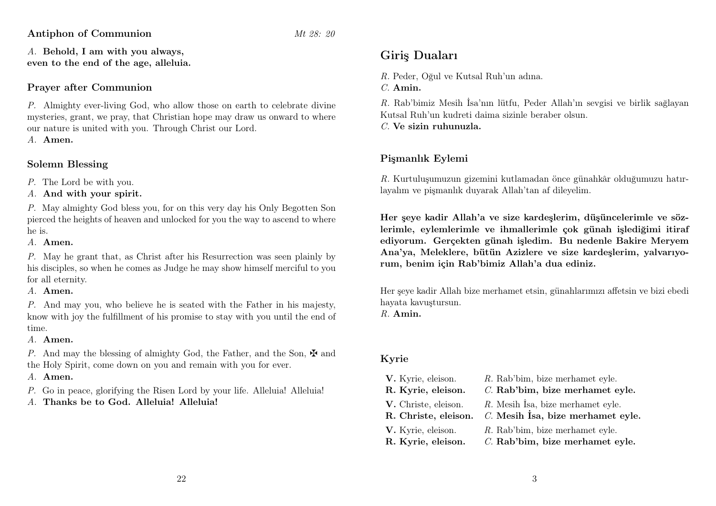Antiphon of Communion Mt 28: 20

A. Behold, I am with you always, even to the end of the age, alleluia.

#### Prayer after Communion

P. Almighty ever-living God, who allow those on earth to celebrate divine mysteries, grant, we pray, that Christian hope may draw us onward to where our nature is united with you. Through Christ our Lord.

A. Amen.

#### Solemn Blessing

P. The Lord be with you.

A. And with your spirit.

P. May almighty God bless you, for on this very day his Only Begotten Son pierced the heights of heaven and unlocked for you the way to ascend to where he is.

A. Amen.

P. May he grant that, as Christ after his Resurrection was seen plainly by his disciples, so when he comes as Judge he may show himself merciful to you for all eternity.

A. Amen.

P. And may you, who believe he is seated with the Father in his majesty, know with joy the fulfillment of his promise to stay with you until the end of time.

#### A. Amen.

P. And may the blessing of almighty God, the Father, and the Son,  $\mathbf{\ddot{F}}$  and the Holy Spirit, come down on you and remain with you for ever.

A. Amen.

P. Go in peace, glorifying the Risen Lord by your life. Alleluia! Alleluia!

A. Thanks be to God. Alleluia! Alleluia!

## Giriş Duaları

R. Peder, Oğul ve Kutsal Ruh'un adına.

C. Amin.

R. Rab'bimiz Mesih İsa'nın lütfu, Peder Allah'ın sevgisi ve birlik sağlayan Kutsal Ruh'un kudreti daima sizinle beraber olsun.

 $C$ . Ve sizin ruhunuzla.

## Pişmanlık Eylemi

R. Kurtuluşumuzun gizemini kutlamadan önce günahkâr olduğumuzu hatırlayalım ve pişmanlık duyarak Allah'tan af dileyelim.

Her şeye kadir Allah'a ve size kardeşlerim, düşüncelerimle ve sözlerimle, eylemlerimle ve ihmallerimle çok günah işlediğimi itiraf ediyorum. Gerçekten günah işledim. Bu nedenle Bakire Meryem Ana'ya, Meleklere, bütün Azizlere ve size kardeşlerim, yalvarıyorum, benim için Rab'bimiz Allah'a dua ediniz.

Her şeye kadir Allah bize merhamet etsin, günahlarımızı affetsin ve bizi ebedi hayata kavuştursun.

R. Amin.

#### Kyrie

| V. Kyrie, eleison.   | R. Rab'bim, bize merhamet eyle.     |
|----------------------|-------------------------------------|
| R. Kyrie, eleison.   | C. Rab'bim, bize merhamet eyle.     |
| V. Christe, eleison. | R. Mesih Isa, bize merhamet eyle.   |
| R. Christe, eleison. | $C.$ Mesih İsa, bize merhamet eyle. |
| V. Kyrie, eleison.   | R. Rab'bim, bize merhamet eyle.     |
| R. Kyrie, eleison.   | C. Rab'bim, bize merhamet eyle.     |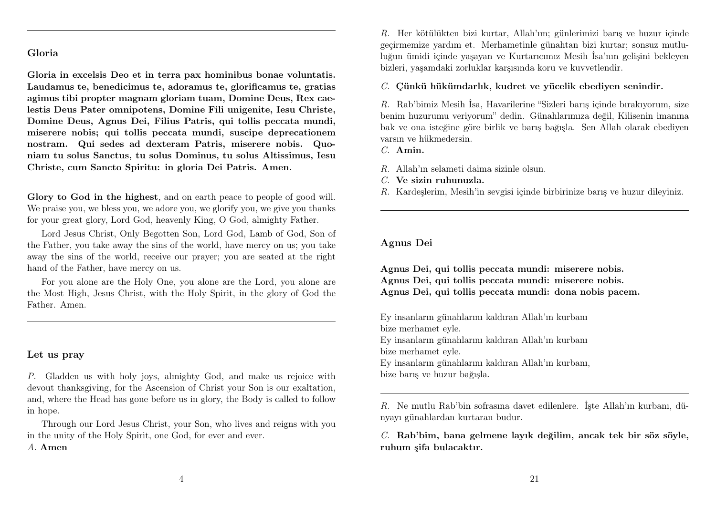#### Gloria

Gloria in excelsis Deo et in terra pax hominibus bonae voluntatis. Laudamus te, benedicimus te, adoramus te, glorificamus te, gratias agimus tibi propter magnam gloriam tuam, Domine Deus, Rex caelestis Deus Pater omnipotens, Domine Fili unigenite, Iesu Christe, Domine Deus, Agnus Dei, Filius Patris, qui tollis peccata mundi, miserere nobis; qui tollis peccata mundi, suscipe deprecationem nostram. Qui sedes ad dexteram Patris, miserere nobis. Quoniam tu solus Sanctus, tu solus Dominus, tu solus Altissimus, Iesu Christe, cum Sancto Spiritu: in gloria Dei Patris. Amen.

Glory to God in the highest, and on earth peace to people of good will. We praise you, we bless you, we adore you, we glorify you, we give you thanks for your great glory, Lord God, heavenly King, O God, almighty Father.

Lord Jesus Christ, Only Begotten Son, Lord God, Lamb of God, Son of the Father, you take away the sins of the world, have mercy on us; you take away the sins of the world, receive our prayer; you are seated at the right hand of the Father, have mercy on us.

For you alone are the Holy One, you alone are the Lord, you alone are the Most High, Jesus Christ, with the Holy Spirit, in the glory of God the Father. Amen.

#### Let us pray

P. Gladden us with holy joys, almighty God, and make us rejoice with devout thanksgiving, for the Ascension of Christ your Son is our exaltation, and, where the Head has gone before us in glory, the Body is called to follow in hope.

Through our Lord Jesus Christ, your Son, who lives and reigns with you in the unity of the Holy Spirit, one God, for ever and ever.

#### A. Amen

R. Her kötülükten bizi kurtar, Allah'ım; günlerimizi barış ve huzur içinde geçirmemize yardım et. Merhametinle günahtan bizi kurtar; sonsuz mutluluğun ümidi içinde yaşayan ve Kurtarıcımız Mesih İsa'nın gelişini bekleyen bizleri, yaşamdaki zorluklar karşısında koru ve kuvvetlendir.

C. Çünkü hükümdarlık, kudret ve yücelik ebediyen senindir.

R. Rab'bimiz Mesih İsa, Havarilerine "Sizleri barış içinde bırakıyorum, size benim huzurumu veriyorum" dedin. Günahlarımıza değil, Kilisenin imanına bak ve ona isteğine göre birlik ve barış bağışla. Sen Allah olarak ebediyen varsın ve hükmedersin.

C. Amin.

- R. Allah'ın selameti daima sizinle olsun.
- C. Ve sizin ruhunuzla.
- R. Kardeşlerim, Mesih'in sevgisi içinde birbirinize barış ve huzur dileyiniz.

#### Agnus Dei

Agnus Dei, qui tollis peccata mundi: miserere nobis. Agnus Dei, qui tollis peccata mundi: miserere nobis. Agnus Dei, qui tollis peccata mundi: dona nobis pacem.

Ey insanların günahlarını kaldıran Allah'ın kurbanı bize merhamet eyle.

Ey insanların günahlarını kaldıran Allah'ın kurbanı bize merhamet eyle.

Ey insanların günahlarını kaldıran Allah'ın kurbanı, bize barış ve huzur bağışla.

R. Ne mutlu Rab'bin sofrasına davet edilenlere. İşte Allah'ın kurbanı, dünyayı günahlardan kurtaran budur.

C. Rab'bim, bana gelmene layık değilim, ancak tek bir söz söyle, ruhum şifa bulacaktır.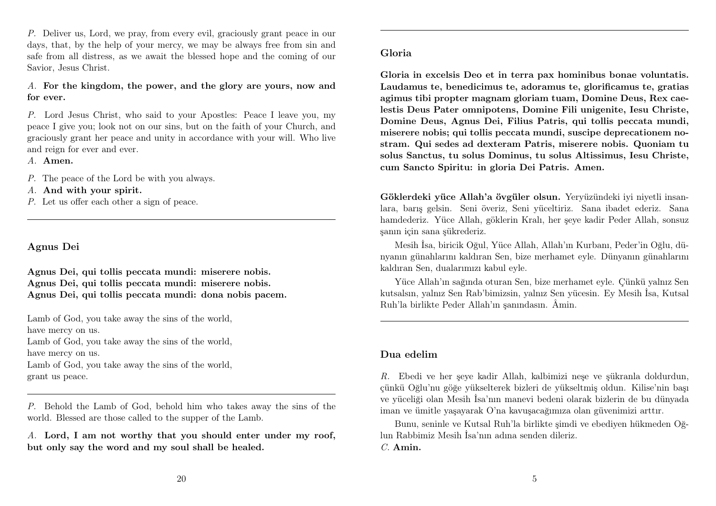P. Deliver us, Lord, we pray, from every evil, graciously grant peace in our days, that, by the help of your mercy, we may be always free from sin and safe from all distress, as we await the blessed hope and the coming of our Savior, Jesus Christ.

A. For the kingdom, the power, and the glory are yours, now and for ever.

P. Lord Jesus Christ, who said to your Apostles: Peace I leave you, my peace I give you; look not on our sins, but on the faith of your Church, and graciously grant her peace and unity in accordance with your will. Who live and reign for ever and ever.

A. Amen.

P. The peace of the Lord be with you always.

A. And with your spirit.

P. Let us offer each other a sign of peace.

#### Agnus Dei

Agnus Dei, qui tollis peccata mundi: miserere nobis. Agnus Dei, qui tollis peccata mundi: miserere nobis. Agnus Dei, qui tollis peccata mundi: dona nobis pacem.

Lamb of God, you take away the sins of the world, have mercy on us. Lamb of God, you take away the sins of the world, have mercy on us. Lamb of God, you take away the sins of the world, grant us peace.

P. Behold the Lamb of God, behold him who takes away the sins of the world. Blessed are those called to the supper of the Lamb.

A. Lord, I am not worthy that you should enter under my roof, but only say the word and my soul shall be healed.

Gloria in excelsis Deo et in terra pax hominibus bonae voluntatis. Laudamus te, benedicimus te, adoramus te, glorificamus te, gratias agimus tibi propter magnam gloriam tuam, Domine Deus, Rex caelestis Deus Pater omnipotens, Domine Fili unigenite, Iesu Christe, Domine Deus, Agnus Dei, Filius Patris, qui tollis peccata mundi, miserere nobis; qui tollis peccata mundi, suscipe deprecationem nostram. Qui sedes ad dexteram Patris, miserere nobis. Quoniam tu solus Sanctus, tu solus Dominus, tu solus Altissimus, Iesu Christe, cum Sancto Spiritu: in gloria Dei Patris. Amen.

Göklerdeki yüce Allah'a övgüler olsun. Yeryüzündeki iyi niyetli insanlara, barış gelsin. Seni överiz, Seni yüceltiriz. Sana ibadet ederiz. Sana hamdederiz. Yüce Allah, göklerin Kralı, her şeye kadir Peder Allah, sonsuz şanın için sana şükrederiz.

Mesih İsa, biricik Oğul, Yüce Allah, Allah'ın Kurbanı, Peder'in Oğlu, dünyanın günahlarını kaldıran Sen, bize merhamet eyle. Dünyanın günahlarını kaldıran Sen, dualarımızı kabul eyle.

Yüce Allah'ın sağında oturan Sen, bize merhamet eyle. Çünkü yalnız Sen kutsalsın, yalnız Sen Rab'bimizsin, yalnız Sen yücesin. Ey Mesih İsa, Kutsal Ruh'la birlikte Peder Allah'ın şanındasın. Âmin.

#### Dua edelim

R. Ebedi ve her şeye kadir Allah, kalbimizi neşe ve şükranla doldurdun, çünkü Oğlu'nu göğe yükselterek bizleri de yükseltmiş oldun. Kilise'nin başı ve yüceliği olan Mesih İsa'nın manevi bedeni olarak bizlerin de bu dünyada iman ve ümitle yaşayarak O'na kavuşacağımıza olan güvenimizi arttır.

Bunu, seninle ve Kutsal Ruh'la birlikte şimdi ve ebediyen hükmeden Oğlun Rabbimiz Mesih İsa'nın adına senden dileriz. C. Amin.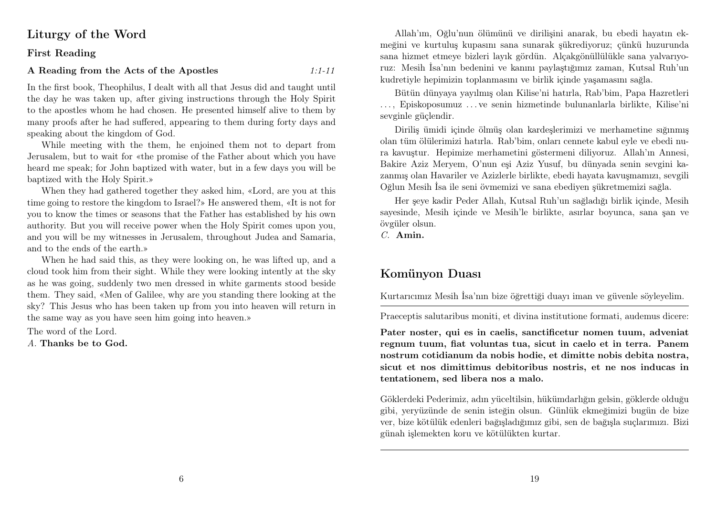## Liturgy of the Word

#### First Reading

#### A Reading from the Acts of the Apostles 1:1-11

In the first book, Theophilus, I dealt with all that Jesus did and taught until the day he was taken up, after giving instructions through the Holy Spirit to the apostles whom he had chosen. He presented himself alive to them by many proofs after he had suffered, appearing to them during forty days and speaking about the kingdom of God.

While meeting with the them, he enjoined them not to depart from Jerusalem, but to wait for «the promise of the Father about which you have heard me speak; for John baptized with water, but in a few days you will be baptized with the Holy Spirit.»

When they had gathered together they asked him, «Lord, are you at this time going to restore the kingdom to Israel?» He answered them, «It is not for you to know the times or seasons that the Father has established by his own authority. But you will receive power when the Holy Spirit comes upon you, and you will be my witnesses in Jerusalem, throughout Judea and Samaria, and to the ends of the earth.»

When he had said this, as they were looking on, he was lifted up, and a cloud took him from their sight. While they were looking intently at the sky as he was going, suddenly two men dressed in white garments stood beside them. They said, «Men of Galilee, why are you standing there looking at the sky? This Jesus who has been taken up from you into heaven will return in the same way as you have seen him going into heaven.»

The word of the Lord.

A. Thanks be to God.

Allah'ım, Oğlu'nun ölümünü ve dirilişini anarak, bu ebedi hayatın ekmeğini ve kurtuluş kupasını sana sunarak şükrediyoruz; çünkü huzurunda sana hizmet etmeye bizleri layık gördün. Alçakgönüllülükle sana yalvarıyoruz: Mesih İsa'nın bedenini ve kanını paylaştığımız zaman, Kutsal Ruh'un kudretiyle hepimizin toplanmasını ve birlik içinde yaşamasını sağla.

Bütün dünyaya yayılmış olan Kilise'ni hatırla, Rab'bim, Papa Hazretleri . . . , Episkoposumuz . . . ve senin hizmetinde bulunanlarla birlikte, Kilise'ni sevginle güçlendir.

Diriliş ümidi içinde ölmüş olan kardeşlerimizi ve merhametine sığınmış olan tüm ölülerimizi hatırla. Rab'bim, onları cennete kabul eyle ve ebedi nura kavuştur. Hepimize merhametini göstermeni diliyoruz. Allah'ın Annesi, Bakire Aziz Meryem, O'nun eşi Aziz Yusuf, bu dünyada senin sevgini kazanmış olan Havariler ve Azizlerle birlikte, ebedi hayata kavuşmamızı, sevgili Oğlun Mesih İsa ile seni övmemizi ve sana ebediyen şükretmemizi sağla.

Her şeye kadir Peder Allah, Kutsal Ruh'un sağladığı birlik içinde, Mesih sayesinde, Mesih içinde ve Mesih'le birlikte, asırlar boyunca, sana şan ve övgüler olsun.

C. Amin.

## Komünyon Duası

Kurtarıcımız Mesih İsa'nın bize öğrettiği duayı iman ve güvenle söyleyelim.

Praeceptis salutaribus moniti, et divina institutione formati, audemus dicere:

Pater noster, qui es in caelis, sanctificetur nomen tuum, adveniat regnum tuum, fiat voluntas tua, sicut in caelo et in terra. Panem nostrum cotidianum da nobis hodie, et dimitte nobis debita nostra, sicut et nos dimittimus debitoribus nostris, et ne nos inducas in tentationem, sed libera nos a malo.

Göklerdeki Pederimiz, adın yüceltilsin, hükümdarlığın gelsin, göklerde olduğu gibi, yeryüzünde de senin isteğin olsun. Günlük ekmeğimizi bugün de bize ver, bize kötülük edenleri bağışladığımız gibi, sen de bağışla suçlarımızı. Bizi günah işlemekten koru ve kötülükten kurtar.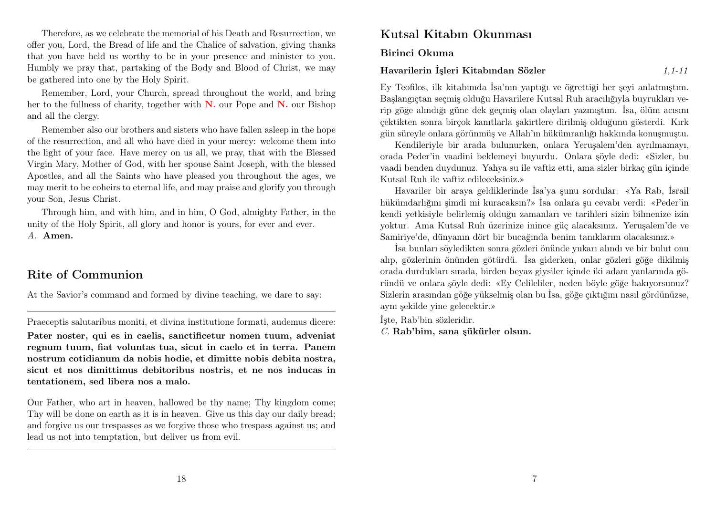Therefore, as we celebrate the memorial of his Death and Resurrection, we offer you, Lord, the Bread of life and the Chalice of salvation, giving thanks that you have held us worthy to be in your presence and minister to you. Humbly we pray that, partaking of the Body and Blood of Christ, we may be gathered into one by the Holy Spirit.

Remember, Lord, your Church, spread throughout the world, and bring her to the fullness of charity, together with  $N$ , our Pope and  $N$ , our Bishop and all the clergy.

Remember also our brothers and sisters who have fallen asleep in the hope of the resurrection, and all who have died in your mercy: welcome them into the light of your face. Have mercy on us all, we pray, that with the Blessed Virgin Mary, Mother of God, with her spouse Saint Joseph, with the blessed Apostles, and all the Saints who have pleased you throughout the ages, we may merit to be coheirs to eternal life, and may praise and glorify you through your Son, Jesus Christ.

Through him, and with him, and in him, O God, almighty Father, in the unity of the Holy Spirit, all glory and honor is yours, for ever and ever. A. Amen.

## Rite of Communion

At the Savior's command and formed by divine teaching, we dare to say:

Praeceptis salutaribus moniti, et divina institutione formati, audemus dicere:

Pater noster, qui es in caelis, sanctificetur nomen tuum, adveniat regnum tuum, fiat voluntas tua, sicut in caelo et in terra. Panem nostrum cotidianum da nobis hodie, et dimitte nobis debita nostra, sicut et nos dimittimus debitoribus nostris, et ne nos inducas in tentationem, sed libera nos a malo.

Our Father, who art in heaven, hallowed be thy name; Thy kingdom come; Thy will be done on earth as it is in heaven. Give us this day our daily bread; and forgive us our trespasses as we forgive those who trespass against us; and lead us not into temptation, but deliver us from evil.

## Kutsal Kitabın Okunması

Birinci Okuma

#### Havarilerin İsleri Kitabından Sözler 1,1-11

Ey Teofilos, ilk kitabımda İsa'nın yaptığı ve öğrettiği her şeyi anlatmıştım. Başlangıçtan seçmiş olduğu Havarilere Kutsal Ruh aracılığıyla buyrukları verip göğe alındığı güne dek geçmiş olan olayları yazmıştım. İsa, ölüm acısını çektikten sonra birçok kanıtlarla şakirtlere dirilmiş olduğunu gösterdi. Kırk gün süreyle onlara görünmüş ve Allah'ın hükümranlığı hakkında konuşmuştu.

Kendileriyle bir arada bulunurken, onlara Yeruşalem'den ayrılmamayı, orada Peder'in vaadini beklemeyi buyurdu. Onlara şöyle dedi: «Sizler, bu vaadi benden duydunuz. Yahya su ile vaftiz etti, ama sizler birkaç gün içinde Kutsal Ruh ile vaftiz edileceksiniz.»

Havariler bir araya geldiklerinde İsa'ya şunu sordular: «Ya Rab, İsrail hükümdarlığını şimdi mi kuracaksın?» İsa onlara şu cevabı verdi: «Peder'in kendi yetkisiyle belirlemiş olduğu zamanları ve tarihleri sizin bilmenize izin yoktur. Ama Kutsal Ruh üzerinize inince güç alacaksınız. Yeruşalem'de ve Samiriye'de, dünyanın dört bir bucağında benim tanıklarım olacaksınız.»

İsa bunları söyledikten sonra gözleri önünde yukarı alındı ve bir bulut onu alıp, gözlerinin önünden götürdü. İsa giderken, onlar gözleri göğe dikilmiş orada durdukları sırada, birden beyaz giysiler içinde iki adam yanlarında göründü ve onlara şöyle dedi: «Ey Celileliler, neden böyle göğe bakıyorsunuz? Sizlerin arasından göğe yükselmiş olan bu İsa, göğe çıktığını nasıl gördünüzse, aynı şekilde yine gelecektir.»

İşte, Rab'bin sözleridir.

C. Rab'bim, sana şükürler olsun.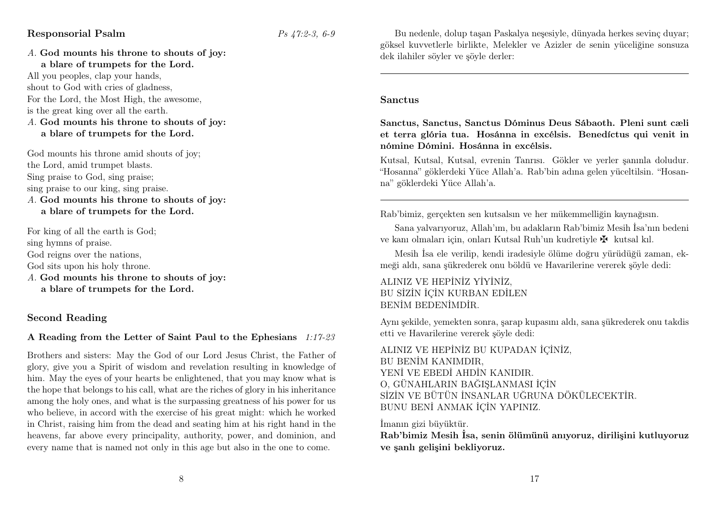#### Responsorial Psalm  $Ps \cancel{47:2-3}$ , 6-9

A. God mounts his throne to shouts of joy: a blare of trumpets for the Lord.

All you peoples, clap your hands, shout to God with cries of gladness, For the Lord, the Most High, the awesome, is the great king over all the earth.

#### A. God mounts his throne to shouts of joy: a blare of trumpets for the Lord.

God mounts his throne amid shouts of joy; the Lord, amid trumpet blasts. Sing praise to God, sing praise; sing praise to our king, sing praise.

A. God mounts his throne to shouts of joy: a blare of trumpets for the Lord.

For king of all the earth is God;

sing hymns of praise.

God reigns over the nations.

God sits upon his holy throne.

A. God mounts his throne to shouts of joy: a blare of trumpets for the Lord.

#### Second Reading

#### A Reading from the Letter of Saint Paul to the Ephesians 1:17-23

Brothers and sisters: May the God of our Lord Jesus Christ, the Father of glory, give you a Spirit of wisdom and revelation resulting in knowledge of him. May the eyes of your hearts be enlightened, that you may know what is the hope that belongs to his call, what are the riches of glory in his inheritance among the holy ones, and what is the surpassing greatness of his power for us who believe, in accord with the exercise of his great might: which he worked in Christ, raising him from the dead and seating him at his right hand in the heavens, far above every principality, authority, power, and dominion, and every name that is named not only in this age but also in the one to come.

Bu nedenle, dolup taşan Paskalya neşesiyle, dünyada herkes sevinç duyar; göksel kuvvetlerle birlikte, Melekler ve Azizler de senin yüceliğine sonsuza dek ilahiler söyler ve şöyle derler:

#### Sanctus

Sanctus, Sanctus, Sanctus Dóminus Deus Sábaoth. Pleni sunt cæli et terra glória tua. Hosánna in excélsis. Benedíctus qui venit in nómine Dómini. Hosánna in excélsis.

Kutsal, Kutsal, Kutsal, evrenin Tanrısı. Gökler ve yerler şanınla doludur. "Hosanna" göklerdeki Yüce Allah'a. Rab'bin adına gelen yüceltilsin. "Hosanna" göklerdeki Yüce Allah'a.

Rab'bimiz, gerçekten sen kutsalsın ve her mükemmelliğin kaynağısın.

Sana yalvarıyoruz, Allah'ım, bu adakların Rab'bimiz Mesih İsa'nın bedeni ve kanı olmaları için, onları Kutsal Ruh'un kudretiyle  $\mathbf{\ddot{F}}$  kutsal kıl.

Mesih İsa ele verilip, kendi iradesiyle ölüme doğru yürüdüğü zaman, ekmeği aldı, sana şükrederek onu böldü ve Havarilerine vererek şöyle dedi:

ALINIZ VE HEPİNİZ YİYİNİZ, BU SİZİN İÇİN KURBAN EDİLEN BENİM BEDENİMDİR.

Aynı şekilde, yemekten sonra, şarap kupasını aldı, sana şükrederek onu takdis etti ve Havarilerine vererek şöyle dedi:

ALINIZ VE HEPİNİZ BU KUPADAN İÇİNİZ, BU BENİM KANIMDIR, YENİ VE EBEDİ AHDİN KANIDIR. O, GÜNAHLARIN BAĞIŞLANMASI İÇİN SİZİN VE BÜTÜN İNSANLAR UĞRUNA DÖKÜLECEKTİR. BUNU BENİ ANMAK İÇİN YAPINIZ.

İmanın gizi büyüktür.

Rab'bimiz Mesih İsa, senin ölümünü anıyoruz, dirilişini kutluyoruz ve şanlı gelişini bekliyoruz.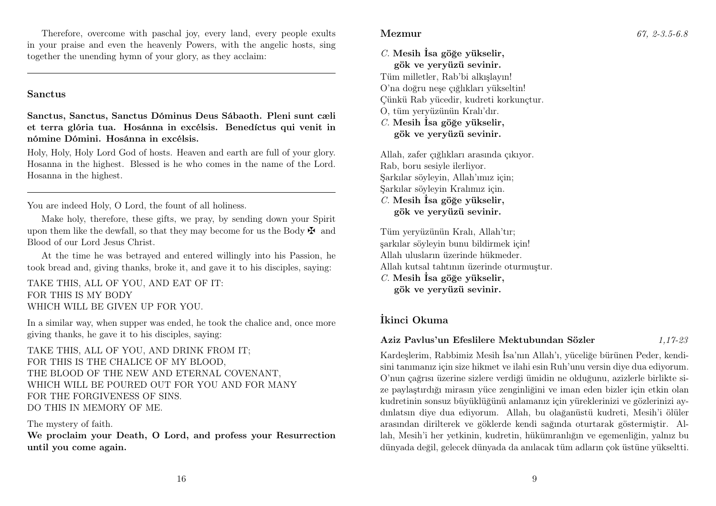Therefore, overcome with paschal joy, every land, every people exults in your praise and even the heavenly Powers, with the angelic hosts, sing together the unending hymn of your glory, as they acclaim:

#### Sanctus

Sanctus, Sanctus, Sanctus Dóminus Deus Sábaoth. Pleni sunt cæli et terra glória tua. Hosánna in excélsis. Benedíctus qui venit in nómine Dómini. Hosánna in excélsis.

Holy, Holy, Holy Lord God of hosts. Heaven and earth are full of your glory. Hosanna in the highest. Blessed is he who comes in the name of the Lord. Hosanna in the highest.

You are indeed Holy, O Lord, the fount of all holiness.

Make holy, therefore, these gifts, we pray, by sending down your Spirit upon them like the dewfall, so that they may become for us the Body  $\mathbf{\ddot{F}}$  and Blood of our Lord Jesus Christ.

At the time he was betrayed and entered willingly into his Passion, he took bread and, giving thanks, broke it, and gave it to his disciples, saying:

TAKE THIS, ALL OF YOU, AND EAT OF IT: FOR THIS IS MY BODY WHICH WILL BE GIVEN UP FOR YOU.

In a similar way, when supper was ended, he took the chalice and, once more giving thanks, he gave it to his disciples, saying:

TAKE THIS, ALL OF YOU, AND DRINK FROM IT; FOR THIS IS THE CHALICE OF MY BLOOD, THE BLOOD OF THE NEW AND ETERNAL COVENANT, WHICH WILL BE POURED OUT FOR YOU AND FOR MANY FOR THE FORGIVENESS OF SINS. DO THIS IN MEMORY OF ME.

#### The mystery of faith.

We proclaim your Death, O Lord, and profess your Resurrection until you come again.

 $C$ . Mesih İsa göğe yükselir. gök ve yeryüzü sevinir. Tüm milletler, Rab'bi alkışlayın!

O'na doğru neşe çığlıkları yükseltin! Çünkü Rab yücedir, kudreti korkunçtur.

O, tüm yeryüzünün Kralı'dır.

#### $C$ . Mesih İsa göğe yükselir. gök ve yeryüzü sevinir.

Allah, zafer çığlıkları arasında çıkıyor. Rab, boru sesiyle ilerliyor. Şarkılar söyleyin, Allah'ımız için; Şarkılar söyleyin Kralımız için.  $C$ . Mesih İsa göğe yükselir, gök ve yeryüzü sevinir.

Tüm yeryüzünün Kralı, Allah'tır; şarkılar söyleyin bunu bildirmek için! Allah ulusların üzerinde hükmeder. Allah kutsal tahtının üzerinde oturmuştur.  $C$ . Mesih İsa göğe yükselir, gök ve yeryüzü sevinir.

#### İkinci Okuma

#### Aziz Pavlus'un Efeslilere Mektubundan Sözler 1,17-23

Kardeşlerim, Rabbimiz Mesih İsa'nın Allah'ı, yüceliğe bürünen Peder, kendisini tanımanız için size hikmet ve ilahi esin Ruh'unu versin diye dua ediyorum. O'nun çağrısı üzerine sizlere verdiği ümidin ne olduğunu, azizlerle birlikte size paylaştırdığı mirasın yüce zenginliğini ve iman eden bizler için etkin olan kudretinin sonsuz büyüklüğünü anlamanız için yüreklerinizi ve gözlerinizi aydınlatsın diye dua ediyorum. Allah, bu olağanüstü kudreti, Mesih'i ölüler arasından dirilterek ve göklerde kendi sağında oturtarak göstermiştir. Allah, Mesih'i her yetkinin, kudretin, hükümranlığın ve egemenliğin, yalnız bu dünyada değil, gelecek dünyada da anılacak tüm adların çok üstüne yükseltti.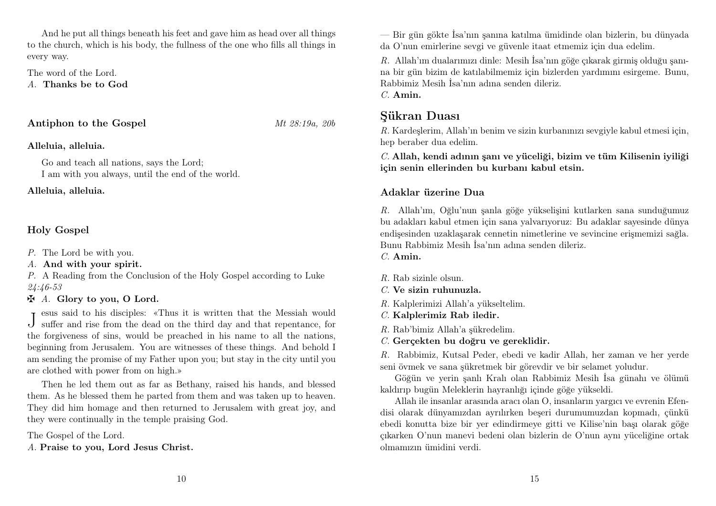And he put all things beneath his feet and gave him as head over all things to the church, which is his body, the fullness of the one who fills all things in every way.

The word of the Lord. A. Thanks be to God

Antiphon to the Gospel Mt 28:19a, 20b

#### Alleluia, alleluia.

Go and teach all nations, says the Lord; I am with you always, until the end of the world.

Alleluia, alleluia.

### Holy Gospel

- P. The Lord be with you.
- A. And with your spirit.

P. A Reading from the Conclusion of the Holy Gospel according to Luke 24:46-53

#### $\mathbf{\ddot{A}}$ . Glory to you, O Lord.

J suffer and rise from the dead on the third day and that repentance, for esus said to his disciples: «Thus it is written that the Messiah would the forgiveness of sins, would be preached in his name to all the nations, beginning from Jerusalem. You are witnesses of these things. And behold I am sending the promise of my Father upon you; but stay in the city until you are clothed with power from on high.»

Then he led them out as far as Bethany, raised his hands, and blessed them. As he blessed them he parted from them and was taken up to heaven. They did him homage and then returned to Jerusalem with great joy, and they were continually in the temple praising God.

The Gospel of the Lord.

A. Praise to you, Lord Jesus Christ.

— Bir gün gökte İsa'nın şanına katılma ümidinde olan bizlerin, bu dünyada da O'nun emirlerine sevgi ve güvenle itaat etmemiz için dua edelim.

R. Allah'ım dualarımızı dinle: Mesih İsa'nın göğe çıkarak girmiş olduğu şanına bir gün bizim de katılabilmemiz için bizlerden yardımını esirgeme. Bunu, Rabbimiz Mesih İsa'nın adına senden dileriz.

 $C$  Amin.

## Şükran Duası

R. Kardeşlerim, Allah'ın benim ve sizin kurbanınızı sevgiyle kabul etmesi için, hep beraber dua edelim.

C. Allah, kendi adının şanı ve yüceliği, bizim ve tüm Kilisenin iyiliği için senin ellerinden bu kurbanı kabul etsin.

#### Adaklar üzerine Dua

R. Allah'ım, Oğlu'nun şanla göğe yükselişini kutlarken sana sunduğumuz bu adakları kabul etmen için sana yalvarıyoruz: Bu adaklar sayesinde dünya endişesinden uzaklaşarak cennetin nimetlerine ve sevincine erişmemizi sağla. Bunu Rabbimiz Mesih İsa'nın adına senden dileriz.

 $C$  Amin.

- R. Rab sizinle olsun.
- C. Ve sizin ruhunuzla.
- R. Kalplerimizi Allah'a yükseltelim.
- C. Kalplerimiz Rab iledir.
- R. Rab'bimiz Allah'a şükredelim.
- C. Gerçekten bu doğru ve gereklidir.

R. Rabbimiz, Kutsal Peder, ebedi ve kadir Allah, her zaman ve her yerde seni övmek ve sana şükretmek bir görevdir ve bir selamet yoludur.

Göğün ve yerin şanlı Kralı olan Rabbimiz Mesih İsa günahı ve ölümü kaldırıp bugün Meleklerin hayranlığı içinde göğe yükseldi.

Allah ile insanlar arasında aracı olan O, insanların yargıcı ve evrenin Efendisi olarak dünyamızdan ayrılırken beşeri durumumuzdan kopmadı, çünkü ebedi konutta bize bir yer edindirmeye gitti ve Kilise'nin başı olarak göğe çıkarken O'nun manevi bedeni olan bizlerin de O'nun aynı yüceliğine ortak olmamızın ümidini verdi.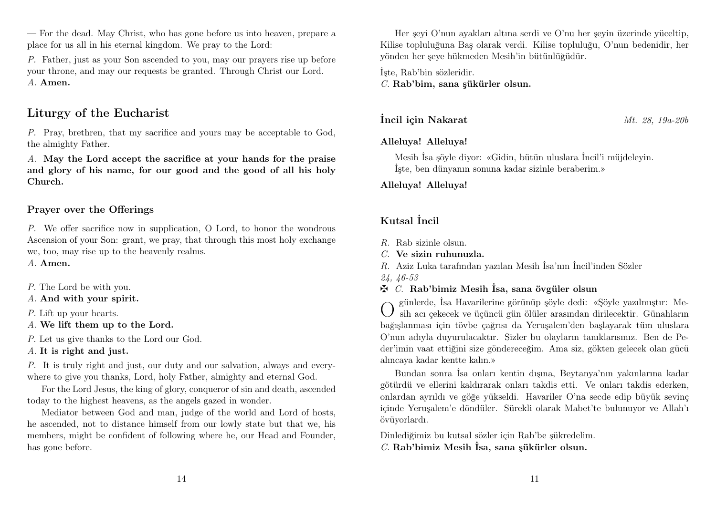— For the dead. May Christ, who has gone before us into heaven, prepare a place for us all in his eternal kingdom. We pray to the Lord:

P. Father, just as your Son ascended to you, may our prayers rise up before your throne, and may our requests be granted. Through Christ our Lord. A. Amen.

## Liturgy of the Eucharist

P. Pray, brethren, that my sacrifice and yours may be acceptable to God, the almighty Father.

A. May the Lord accept the sacrifice at your hands for the praise and glory of his name, for our good and the good of all his holy Church.

#### Prayer over the Offerings

P. We offer sacrifice now in supplication, O Lord, to honor the wondrous Ascension of your Son: grant, we pray, that through this most holy exchange we, too, may rise up to the heavenly realms.

A. Amen.

- P. The Lord be with you.
- A. And with your spirit.

P. Lift up your hearts.

- A. We lift them up to the Lord.
- P. Let us give thanks to the Lord our God.
- A. It is right and just.

P. It is truly right and just, our duty and our salvation, always and everywhere to give you thanks, Lord, holy Father, almighty and eternal God.

For the Lord Jesus, the king of glory, conqueror of sin and death, ascended today to the highest heavens, as the angels gazed in wonder.

Mediator between God and man, judge of the world and Lord of hosts, he ascended, not to distance himself from our lowly state but that we, his members, might be confident of following where he, our Head and Founder, has gone before.

Her şeyi O'nun ayakları altına serdi ve O'nu her şeyin üzerinde yüceltip, Kilise topluluğuna Baş olarak verdi. Kilise topluluğu, O'nun bedenidir, her yönden her şeye hükmeden Mesih'in bütünlüğüdür.

İşte, Rab'bin sözleridir. C. Rab'bim, sana şükürler olsun.

**incil icin Nakarat** Mt. 28, 19a-20b

#### Alleluya! Alleluya!

Mesih İsa şöyle diyor: «Gidin, bütün uluslara İncil'i müjdeleyin. İşte, ben dünyanın sonuna kadar sizinle beraberim.»

#### Alleluya! Alleluya!

### Kutsal İncil

- R. Rab sizinle olsun.
- $C$ . Ve sizin ruhunuzla.
- R. Aziz Luka tarafından yazılan Mesih İsa'nın İncil'inden Sözler
- 24, 46-53
- $\mathbf{\ddot{F}}$  C. Rab'bimiz Mesih İsa, sana övgüler olsun

O günlerde, İsa Havarilerine görünüp şöyle dedi: «Şöyle yazılmıştır: Mesih acı çekecek ve üçüncü gün ölüler arasından dirilecektir. Günahların bağışlanması için tövbe çağrısı da Yeruşalem'den başlayarak tüm uluslara O'nun adıyla duyurulacaktır. Sizler bu olayların tanıklarısınız. Ben de Peder'imin vaat ettiğini size göndereceğim. Ama siz, gökten gelecek olan gücü alıncaya kadar kentte kalın.»

Bundan sonra İsa onları kentin dışına, Beytanya'nın yakınlarına kadar götürdü ve ellerini kaldırarak onları takdis etti. Ve onları takdis ederken, onlardan ayrıldı ve göğe yükseldi. Havariler O'na secde edip büyük sevinç içinde Yeruşalem'e döndüler. Sürekli olarak Mabet'te bulunuyor ve Allah'ı övüyorlardı.

Dinlediğimiz bu kutsal sözler için Rab'be şükredelim. C. Rab'bimiz Mesih İsa, sana şükürler olsun.